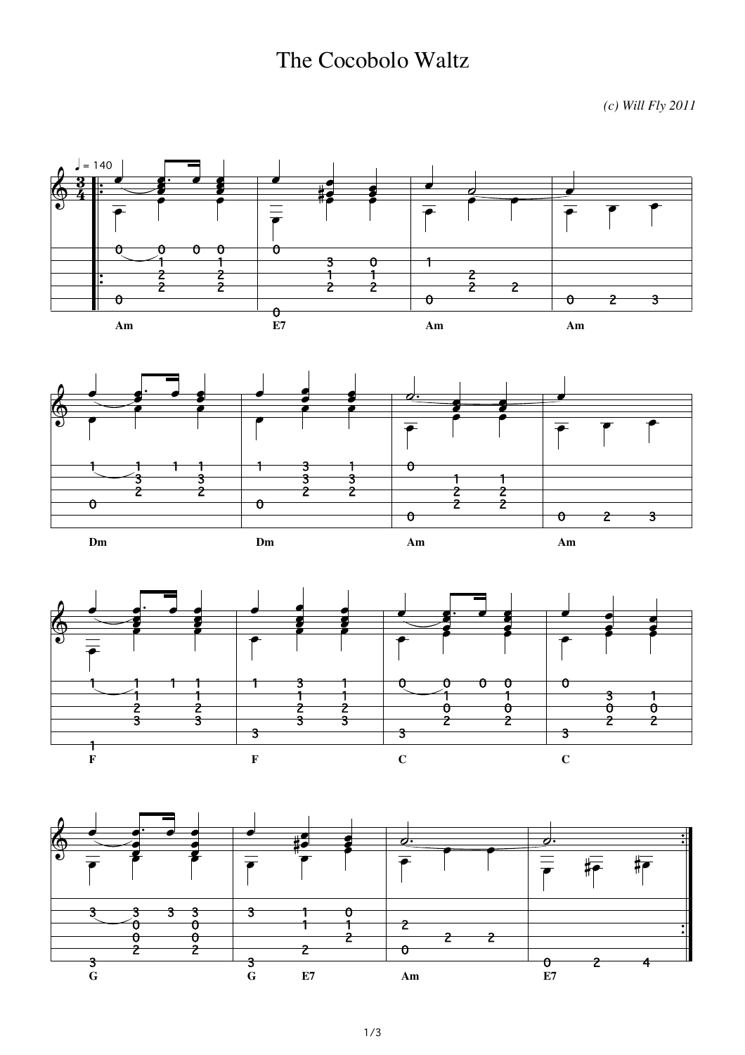## The Cocobolo Waltz

*(c) Will Fly 2011*



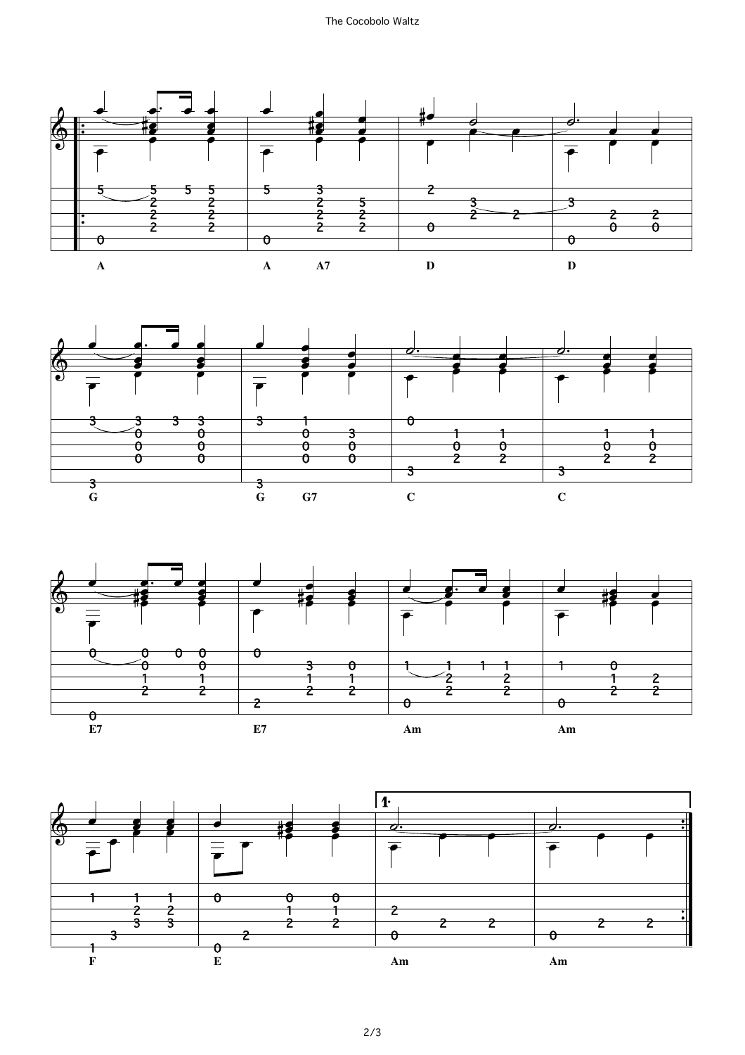